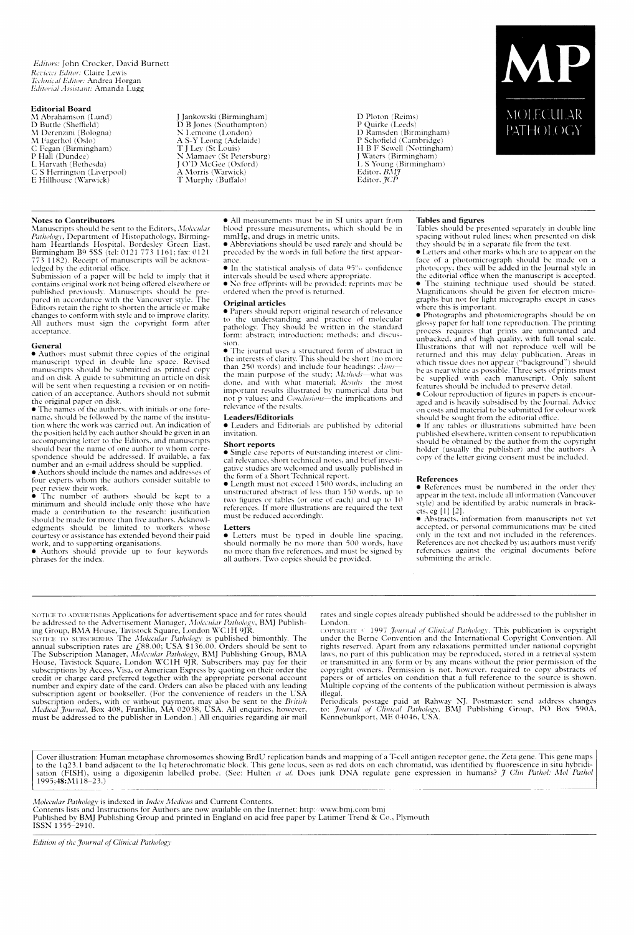Editors: John Crocker, David Burnett Reviews Editor: Claire Lewis Technical Editor: Andrea Horgan Editorial Assistant: Amanda Lugg

### **Editorial Board**

M Abrahamson (Lund)<br>D Buttle (Sheffield) M Derenzini (Bologna)<br>M Fagerhol (Oslo) C Fegan (Birmingham) P Hall (Dundee) L. Harvath (Bethesda)<br>C. S. Herrington (Liverpool) E Hillhouse (Warwick)

# **Notes to Contributors**

Manuscripts should be sent to the Editors, Molecular Manuscripts should be sent to the Editors, *Molecular*<br>Pathology, Department of Histopathology, Birming-<br>ham Heartlands Hospital, Bordesley Green East,<br>Birmingham B9 5SS (tel: 0121 773 1161; fax: 0121<br>773 1182). Receipt of

Factor in accordance with the vancouver style. The<br>Editors retain the right to shorten the article or make<br>changes to conform with style and to improve clarity. All authors must sign the copyright form after acceptance.

#### General

• Authors must submit three copies of the original<br>manuscript typed in double line space. Revised<br>manuscripts should be submitted as printed copy<br>and on disk. A guide to submitting an article on disk and on disk. Tightac to submitting an article of disk<br>cation of an acceptance. Authors should not submit<br>the original paper on disk.<br>• The names of the authors, with initials or one fore-

name, should be followed by the name of the institu-<br>tion where the work was carried out. An indication of the position held by each author should be given in an<br>accompanying letter to the Editors, and manuscripts accompanying tetter to the Euclidean school bear than<br>school bear the name of one author to whom correspondence should be addressed. If available, a fax<br>number and an e-mail address should be supplied.<br>• Authors should inc

four experts whom the authors consider suitable to

per review their work.<br>
• The number of authors should be kept to a<br>
minimum and should include only those who have<br>
minimum and should include only those who have<br>
made a contribution to the research: justification should be made for more than five authors. Acknowl-<br>edgments should be limited to workers whose courtesy or assistance has extended beyond their paid

work, and to supporting organisations.<br>
• Authors should provide up to four keywords<br>
phrases for the index.

J Jankowski (Birmingham) D B Jones (Southampton) N Lemoine (London) N Lemme (London)<br>
A S-Y Leong (Adelaide)<br>
T J Ley (St Louis)<br>
N Mamaev (St Petersburg)<br>
J O'D McGee (Oxford)<br>
A Morris (Warwick) T Murphy (Buffalo)

D Ploton (Reims)<br>
P Quirke (Leeds)<br>
D Ramsden (Birmingham)<br>
D Schofield (Cambridge)<br>
H B F Sewell (Nottingham)<br>
J Waters (Birmingham)<br>
J Waters (Birmingham) L S Young (Birmingham)<br>Editor, BMJ



Editor, JCP

preceded by the words in full before the first appearance

 $\bullet$  In the statistical analysis of data 95% confidence intervals should be used where appropriate.<br>• No free offprints will be provided; reprints may be

ordered when the proof is returned.

# Original articles

· Papers should report original research of relevance to the understanding and practice of molecular<br>pathology. They should be written in the standard form: abstract; introduction; methods; and discus-

• The journal uses a structured form of abstract in<br>the interests of clarity. This should be short (no more the microsecoverancy. This shown the distribution of the main purpose of the study, *Methods*—what was done, and with what material; *Results* the most important results illustrated by numerical data but not p values; and Conclusions-the implications and roce p variety, and come<br>relevance of the results.

## Leaders/Editorials

· Leaders and Editorials are published by editorial invitation.

## **Short reports**

• Single case reports of outstanding interest or clinical relevance, short technical notes, and brief investigative studies are welcomed and usually published in the form of a Short Technical report.<br>• Length must not exceed 1500 words, including an

**Example mass not execute 1500 words, meaning and the unit of less than 150 words, up to two figures or tables (or one of each) and up to 10** references. If more illustrations are required the text must be reduced accordingly.

#### Letters

• Letters must be typed in double line spacing,<br>should normally be no more than 500 words, have no more than five references, and must be signed by all authors. Two copies should be provided.

### **Tables and figures**

Tables should be presented separately in double line spacing without ruled lines; when presented on disk<br>they should be in a separate file from the text.

they should be in a separate file from the text.<br>
• Letters and other marks which are to appear on the<br>
• Letters and other marks which are to appear on a photocopy; they will be added in the Journal style in<br>
the editoria

graphs but not tor light micrographs except in cases<br>where this is important.<br>
• Photographs and photomicrographs should be on<br>
glossy paper for half tone reproduction. The printing<br>
process requires that prints are unmoun features should be included to preserve detail.

• Colour reproduction of figures in papers is encouraged and is heavily subsidised by the Journal. Advice on costs and material to be submitted for colour work<br>should be sought from the editorial office.

· If any tables or illustrations submitted have been published elsewhere, written consent to republication should be obtained by the author from the copyright<br>holder (usually the publisher) and the authors. A<br>copy of the letter giving consent must be included.

### References

· References must be numbered in the order they appear in the text, include all information (Vancouver<br>style) and be identified by arabic numerals in brackets, eg [1] [2].

 $\bullet$  Abstracts, information from manuscripts not yet<br>accepted, or personal communications may be cited only in the text and not included in the references References are not checked by us; authors must verify references against the original documents before submitting the article.

NOTICE TO ADVERTISERS Applications for advertisement space and for rates should<br>be addressed to the Advertisement Manager, *Molecular Pathology*, BMJ Publishing Group, BMA House, Tavistock Square, London WC1H 9JR.<br>NOTICE T subscriptions by Access, was, or American express by quoting on their due cerdit or charge eard preferred together with the appropriate personal account number and expiry date of the card. Orders can also be placed with an must be addressed to the publisher in London.) All enquiries regarding air mail

rates and single copies already published should be addressed to the publisher in London

COPYRIGHT < 1997 *Journal of Clinical Pathology*. This publication is copyright under the Berne Convention and the International Copyright Convention. All rights reserved. Apart from any relaxations permitted under national copyright Figure is exerved. Spart from any teraxations permitted under laudial laws, no part of this publication may be reproduced, stored in a retrieval system or transmitted in any form or by any means without the prior permissio illegal.

meganization postage paid at Rahway NJ. Postmaster: send address changes<br>to: Journal of Clinical Pathology, BMJ Publishing Group, PO Box 590A,<br>Kennebunkport, ME 04046, USA.

Cover illustration: Human metaphase chromosomes showing BrdU replication bands and mapping of a T-cell antigen receptor gene, the Zeta gene. This gene maps to the 1q23.1 band adjacent to the 1q heterochromatic block. This

Molecular Pathology is indexed in Index Medicus and Current Contents.

Contents lists and Instructions for Authors are now available on the Internet: http://www.bmj.com/bmj<br>Published by BMJ Publishing Group and printed in England on acid free paper by Latimer Trend & Co., Plymouth<br>ISSN 1355-2

Edition of the Journal of Clinical Pathology

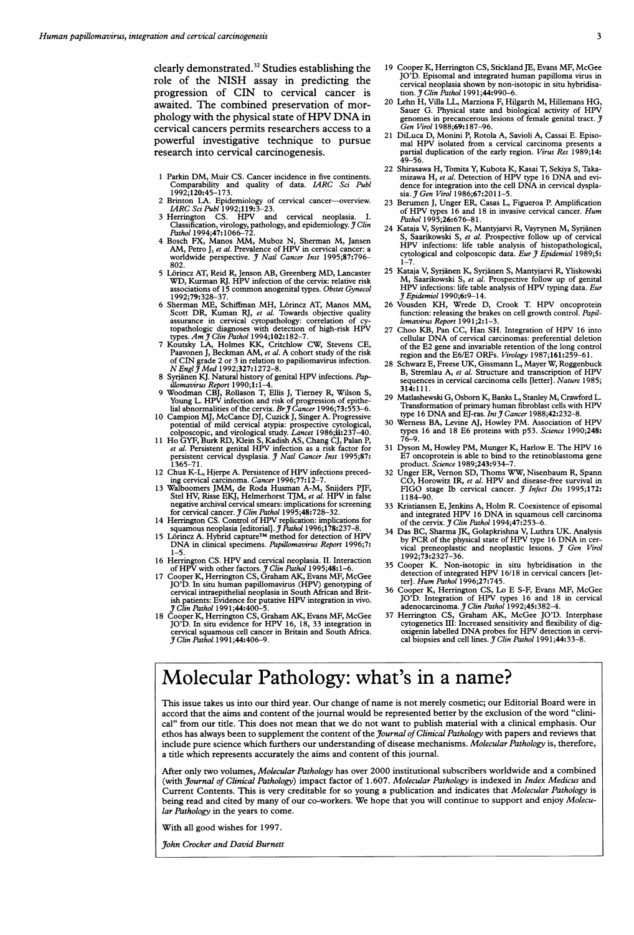clearly demonstrated.<sup>32</sup> Studies establishing the role of the NISH assay in predicting the progression of CIN to cervical cancer is awaited. The combined preservation of morphology with the physical state of HPV DNA in cervical cancers permits researchers access to a powerful investigative technique to pursue research into cervical carcinogenesis.

- 1 Parkin DM, Muir CS. Cancer incidence in five continents.<br>Comparability and quality of data. IARC Sci Publ<br>1992;120:45-173.
- 2 Brinton LA. Epidemiology of cervical cancer—overview.<br>1 *IARC Sci Publ* 1992;119:3-23.<br>3 Herrington CS. HPV and cervical neoplasia. I.
- 
- Classification, virology, pathology, and epidemiology. J Clin Pathol 1994;47:1066–72.<br>4 Bosch FX, Manos MM, Muboz N, Sherman M, Jansen AM, Petro J, et al. Prevalence of HPV in cervical cancer: a worldwide perspective. J Na
- 802.<br>5 Lorincz AT, Reid R, Jenson AB, Greenberg MD, Lancaster<br>WD, Kurman RJ. HPV infection of the cervix: relative risk<br>associations of 15 common anogenital types. Obstet Gynecol
- 1992;79:328-37. Schiffman MH, Lörincz AT, Manos MM, Schiffman ME, Schiffman MH, Lörincz AT, Manos MM, Schiffman RJ, et al. Towards objective quality assurance in cervical cytopathology: correlation of cytopathologic diagn
- of CIN grade 2 or 3 in relation to papiliomavirus infection.<br> $N$  Engl  $\widetilde{J}$  Med 1992;327:1272-8.
- 
- N Engl § Med 1992;327:1272-8.<br>
8 Syrjänen KJ. Natural history of genital HPV infections. Pap-<br>
illomatives Report 1990;1:1-4.<br>
9 Woodman CBJ, Rollason T, Ellis J, Tierney R, Wilson S,<br>
Yoodman CBJ, Rollason T, Ellis J, Tie
- 
- persistent cervical dysplasia. J Natl Cancer Inst 1995;87: 1365-71.
- <sup>12</sup> Chua K-L, Hjerpe A. Persistence of HPV infections preced-
- ing cervical carcinoma. *Cancer* 1996;77:12–7.<br>13 Walboomers JMM, de Roda Husman A-M, Snijders PJF,<br>Stel HV, Risse EKJ, Helmerhorst TJM, *et al*. HPV in false negative archival cervical smears: implications for screening<br>for cervical cancer. J Clin Pathol 1995;48:728–32.
- 14 Herrington CS. Control of HPV replication: implications for<br>squamous neoplasia [editorial]. *J Pathol* 1996;178:237–8.<br>15 Lörincz A. Hybrid capture™ method for detection of HPV
- DNA in clinical specimens. Papillomavirus Report 1996;7:<br>1-5.
- 
- <sup>1-5</sup>. HPV and cervical neoplasia. II. Interaction<br>16 Herrington CS. HPV and cervical neoplasia. II. Interaction<br>17 Cooper K, Herrington CS, Graham AK, Evans MF, McGee<br>17 Cooper K, Herrington CS, Graham AK, Evans MF, McGee ish patients: Evidence for putative HPV integration in vivo.<br>J Clin Pathol 1991;44:400–5.
- 18 Cooper K, Herrington CS, Graham AK, Evans MF, McGee JO'D. In situ evidence for HPV 16, 18, <sup>33</sup> integration in cervical squamous cell cancer in Britain and South Africa.<br>J Clin Pathol 1991;44:406–9.
- 19 Cooper K, Herrington CS, Stickland JE, Evans MF, McGee JO'D. Episomal and integrated human papilloma virus in cervical neoplasia shown by non-isotopic in situ hybridisation. J Clin Pathol 1991;44:990-6.
- 20 Lehn H, Villa LL, Marziona F, Hilgarth M, Hillemans HG, Sauer G. Physical state and biological activity of HPV genomes in precancerous lesions of female genital tract.<br>*Gen Virol* 1988;**69:**187–96.
- 21 DiLuca D, Monini P, Rotola A, Savioli A, Cassai E. Episo-mal HPV isolated from <sup>a</sup> cervical carcinoma presents <sup>a</sup> partial duplication of the early region. Virus Res 1989;14: 49-56.
- 22 Shirasawa H, Tomita Y, Kubota K, Kasai T, Sekiya S, Taka-<br>mizawa H, et al. Detection of HPV type 16 DNA and evi-<br>dence for integration into the cell DNA in cervical dysplasia. J Gen Virol 1986;67:2011-5.
- 23 Berumen J, Unger ER, Casas L, Figueroa P. Amplification of HPV types 16 and 18 in invasive cervical cancer. Hum<br>Pathol 1995;26:676-81.
- 24 Kataja V, Syrjanen K, Mantyjarvi R, Vayrynen M, Syrianen Saarikowski S, et al. Prospective follow up of cervical HPV infections: life table analysis of histopathological, cytological and colposcopic data. Eur  $\tilde{\jmath}$  Epidemiol 1989;5:
- 1-7. 25 Kataja V, Syrianen K, Syrjanen S, Mantyjarvi R, Yliskowski M, Saarikowski S, et al. Prospective follow up of genital HPV infections: life table analysis of HPV typing data. Eur 3tEpidemiol 1990;6:9-14.
- 26 Vousden KH, Wrede D, Crook T. HPV oncoprotein function: releasing the brakes on cell growth control. Papillomavirus Report 1991;2:1-3.
- <sup>27</sup> Choo KB, Pan CC, Han SH. Integration of HPV <sup>16</sup> into cellular DNA of cervical carcinomas: preferential deletion of the E2 gene and invariable retention of the long control region and the E6/E7 ORFs. Virology 1987;161:259-61.
- 28 Schwarz E, Freese UK, Gissmann L, Mayer W, Roggenbuck B, Stremlau A, et al. Structure and transcription of HPV sequences in cervical carcinoma cells [letter]. Nature 1985; 314:111.
- 29 Matlashewski G, Osbom K, Banks L, Stanley M, Crawford L. Transformation of primary human fibroblast cells with HPV<br>type 16 DNA and EJ-ras. *Int J Cancer* 1988;42:232-8.<br>30 Werness BA, Levine AJ, Howley PM. Association of HPV
- types 16 and 18 E6 proteins with p53. Science 1990;248: 76-9.
- <sup>31</sup> Dyson M, Howley PM, Munger K, Harlow E. The HPV <sup>16</sup> E7 oncoprotein is able to bind to the retinoblastoma gene product. Science 1989;243:934-7.
- 32 Unger ER, Vernon SD, Thoms WW, Nisenbaum R, Spann CO, Horowitz IR, et al. HPV and disease-free survival in FIGO stage Ib cervical cancer. J Infect Dis 1995;172: 1184-90.
- 33 Kristiansen E, Jenkins A, Holm R. Coexistence of episomal and integrated HPV <sup>16</sup> DNA in squamous cell carcinoma of the cervix.  $J$  Clin Pathol 1994;47:253-6.
- 34 Das BC, Sharma JK, Golapkrishna V, Luthra UK. Analysis by PCR of the physical state of HPV type <sup>16</sup> DNA in cervical preneoplastic and neoplastic lesions. J Gen Virol<br>1992;73:2327–36.
- 35 Cooper K. Non-isotopic in situ hybridisation in the detection of integrated HPV 16/18 in cervical cancers [let-<br>ter]. Hum Pathol 1996;27:745.
- 36 Cooper K, Herrington CS, Lo E S-F, Evans MF, McGee<br>JO'D. Integration of HPV types 16 and 18 in cervical<br>adenocarcinoma. *J Clin Pathol* 1992;45:382-4.<br>37 Herrington CS, Graham AK, McGee JO'D. Interphase
- cytogenetics III: Increased sensitivity and flexibility of dig-<br>oxigenin labelled DNA probes for HPV detection in cervi-<br>cal biopsies and cell lines. J Clin Pathol 1991;44:33–8.

# Molecular Pathology: what's in a name?

This issue takes us into our third year. Our change of name is not merely cosmetic; our Editorial Board were in accord that the aims and content of the journal would be represented better by the exclusion of the word "clinical" from our title. This does not mean that we do not want to publish material with <sup>a</sup> clinical emphasis. Our ethos has always been to supplement the content of the *Journal of Clinical Pathology* with papers and reviews that include pure science which furthers our understanding of disease mechanisms. Molecular Pathology is, therefore, a title which represents accurately the aims and content of this journal.

After only two volumes, Molecular Pathology has over 2000 institutional subscribers worldwide and a combined (with Journal of Clinical Pathology) impact factor of 1.607. Molecular Pathology is indexed in Index Medicus and Current Contents. This is very creditable for so young a publication and indicates that Molecular Pathology is being read and cited by many of our co-workers. We hope that you will continue to support and enjoy Molecular Pathology in the years to come.

With all good wishes for 1997.

John Crocker and David Burnett